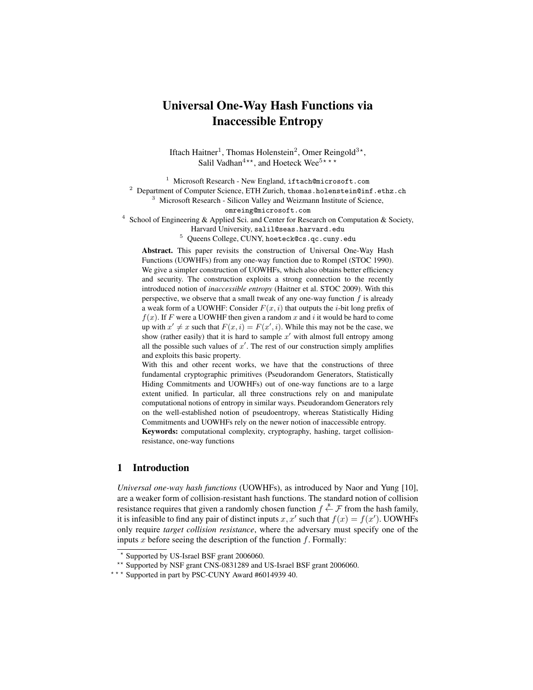# Universal One-Way Hash Functions via Inaccessible Entropy

Iftach Haitner<sup>1</sup>, Thomas Holenstein<sup>2</sup>, Omer Reingold<sup>3\*</sup>, Salil Vadhan<sup>4\*\*</sup>, and Hoeteck Wee<sup>5\*\*\*</sup>

<sup>1</sup> Microsoft Research - New England, iftach@microsoft.com

<sup>2</sup> Department of Computer Science, ETH Zurich, thomas.holenstein@inf.ethz.ch

<sup>3</sup> Microsoft Research - Silicon Valley and Weizmann Institute of Science,

omreing@microsoft.com

<sup>4</sup> School of Engineering & Applied Sci. and Center for Research on Computation & Society,

Harvard University, salil@seas.harvard.edu

<sup>5</sup> Queens College, CUNY, hoeteck@cs.qc.cuny.edu

Abstract. This paper revisits the construction of Universal One-Way Hash Functions (UOWHFs) from any one-way function due to Rompel (STOC 1990). We give a simpler construction of UOWHFs, which also obtains better efficiency and security. The construction exploits a strong connection to the recently introduced notion of *inaccessible entropy* (Haitner et al. STOC 2009). With this perspective, we observe that a small tweak of any one-way function  $f$  is already a weak form of a UOWHF: Consider  $F(x, i)$  that outputs the *i*-bit long prefix of  $f(x)$ . If F were a UOWHF then given a random x and i it would be hard to come up with  $x' \neq x$  such that  $F(x, i) = F(x', i)$ . While this may not be the case, we show (rather easily) that it is hard to sample  $x'$  with almost full entropy among all the possible such values of  $x'$ . The rest of our construction simply amplifies and exploits this basic property.

With this and other recent works, we have that the constructions of three fundamental cryptographic primitives (Pseudorandom Generators, Statistically Hiding Commitments and UOWHFs) out of one-way functions are to a large extent unified. In particular, all three constructions rely on and manipulate computational notions of entropy in similar ways. Pseudorandom Generators rely on the well-established notion of pseudoentropy, whereas Statistically Hiding Commitments and UOWHFs rely on the newer notion of inaccessible entropy. Keywords: computational complexity, cryptography, hashing, target collisionresistance, one-way functions

## 1 Introduction

*Universal one-way hash functions* (UOWHFs), as introduced by Naor and Yung [10], are a weaker form of collision-resistant hash functions. The standard notion of collision resistance requires that given a randomly chosen function  $f \stackrel{\mathbb{R}}{\leftarrow} \mathcal{F}$  from the hash family, it is infeasible to find any pair of distinct inputs x, x' such that  $f(x) = f(x')$ . UOWHFs only require *target collision resistance*, where the adversary must specify one of the inputs x before seeing the description of the function  $f$ . Formally:

<sup>?</sup> Supported by US-Israel BSF grant 2006060.

<sup>\*\*</sup> Supported by NSF grant CNS-0831289 and US-Israel BSF grant 2006060.

<sup>\* \* \*</sup> Supported in part by PSC-CUNY Award #6014939 40.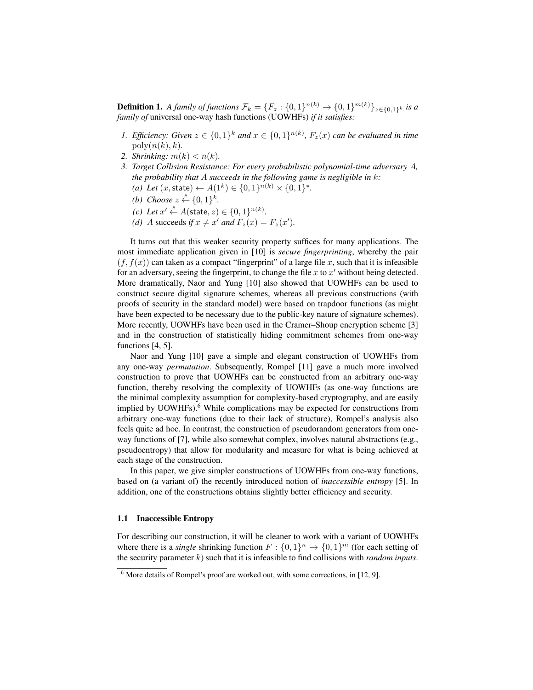**Definition 1.** A family of functions  $\mathcal{F}_k = \{F_z : \{0,1\}^{n(k)} \to \{0,1\}^{m(k)}\}_{z \in \{0,1\}^k}$  is a *family of* universal one-way hash functions (UOWHFs) *if it satisfies:*

- *1. Efficiency:* Given  $z \in \{0,1\}^k$  and  $x \in \{0,1\}^{n(k)}$ ,  $F_z(x)$  can be evaluated in time  $poly(n(k), k)$ .
- 2. *Shrinking:*  $m(k) < n(k)$ .
- *3. Target Collision Resistance: For every probabilistic polynomial-time adversary* A*, the probability that* A *succeeds in the following game is negligible in* k*:*
	- *(a) Let*  $(x, \text{state}) \leftarrow A(1^k) \in \{0, 1\}^{n(k)} \times \{0, 1\}^*$ .
	- *(b) Choose*  $z \stackrel{R}{\leftarrow} \{0,1\}^k$ *.*
	- *(c) Let*  $x' \stackrel{k}{\leftarrow} A(\text{state}, z) \in \{0, 1\}^{n(k)}$ *.*
	- (*d*) *A* succeeds *if*  $x \neq x'$  *and*  $F_z(x) = F_z(x')$ *.*

It turns out that this weaker security property suffices for many applications. The most immediate application given in [10] is *secure fingerprinting*, whereby the pair  $(f, f(x))$  can taken as a compact "fingerprint" of a large file x, such that it is infeasible for an adversary, seeing the fingerprint, to change the file  $x$  to  $x'$  without being detected. More dramatically, Naor and Yung [10] also showed that UOWHFs can be used to construct secure digital signature schemes, whereas all previous constructions (with proofs of security in the standard model) were based on trapdoor functions (as might have been expected to be necessary due to the public-key nature of signature schemes). More recently, UOWHFs have been used in the Cramer–Shoup encryption scheme [3] and in the construction of statistically hiding commitment schemes from one-way functions [4, 5].

Naor and Yung [10] gave a simple and elegant construction of UOWHFs from any one-way *permutation*. Subsequently, Rompel [11] gave a much more involved construction to prove that UOWHFs can be constructed from an arbitrary one-way function, thereby resolving the complexity of UOWHFs (as one-way functions are the minimal complexity assumption for complexity-based cryptography, and are easily implied by UOWHFs).<sup>6</sup> While complications may be expected for constructions from arbitrary one-way functions (due to their lack of structure), Rompel's analysis also feels quite ad hoc. In contrast, the construction of pseudorandom generators from oneway functions of [7], while also somewhat complex, involves natural abstractions (e.g., pseudoentropy) that allow for modularity and measure for what is being achieved at each stage of the construction.

In this paper, we give simpler constructions of UOWHFs from one-way functions, based on (a variant of) the recently introduced notion of *inaccessible entropy* [5]. In addition, one of the constructions obtains slightly better efficiency and security.

#### 1.1 Inaccessible Entropy

For describing our construction, it will be cleaner to work with a variant of UOWHFs where there is a *single* shrinking function  $F: \{0,1\}^n \to \{0,1\}^m$  (for each setting of the security parameter  $k$ ) such that it is infeasible to find collisions with *random inputs*.

 $6$  More details of Rompel's proof are worked out, with some corrections, in [12, 9].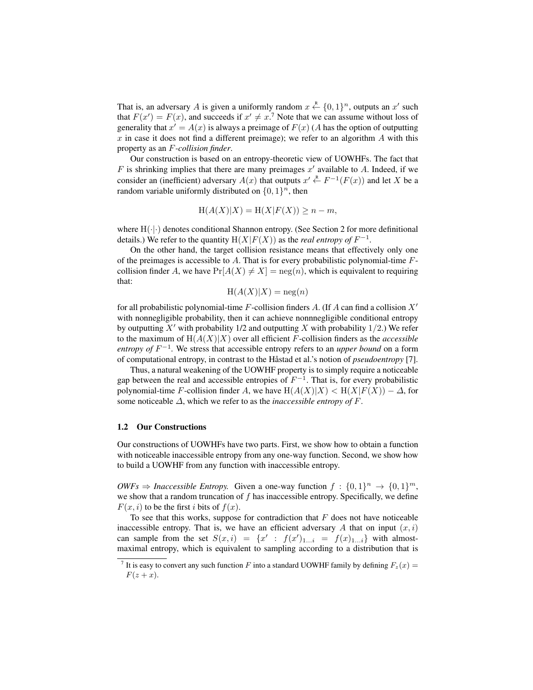That is, an adversary A is given a uniformly random  $x \stackrel{\text{R}}{\leftarrow} \{0,1\}^n$ , outputs an  $x'$  such that  $F(x') = F(x)$ , and succeeds if  $x' \neq x$ .<sup>7</sup> Note that we can assume without loss of generality that  $x' = A(x)$  is always a preimage of  $F(x)$  (A has the option of outputting x in case it does not find a different preimage); we refer to an algorithm  $\tilde{A}$  with this property as an F*-collision finder*.

Our construction is based on an entropy-theoretic view of UOWHFs. The fact that  $F$  is shrinking implies that there are many preimages  $x'$  available to  $A$ . Indeed, if we consider an (inefficient) adversary  $A(x)$  that outputs  $x' \stackrel{R}{\leftarrow} F^{-1}(F(x))$  and let X be a random variable uniformly distributed on  $\{0, 1\}^n$ , then

$$
H(A(X)|X) = H(X|F(X)) \ge n - m,
$$

where  $H(\cdot|\cdot)$  denotes conditional Shannon entropy. (See Section 2 for more definitional details.) We refer to the quantity  $H(X|F(X))$  as the *real entropy of*  $F^{-1}$ .

On the other hand, the target collision resistance means that effectively only one of the preimages is accessible to  $A$ . That is for every probabilistic polynomial-time  $F$ collision finder A, we have  $Pr[A(X) \neq X] = neg(n)$ , which is equivalent to requiring that:

$$
H(A(X)|X) = neg(n)
$$

for all probabilistic polynomial-time F-collision finders A. (If A can find a collision  $X'$ with nonnegligible probability, then it can achieve nonnnegligible conditional entropy by outputting X' with probability 1/2 and outputting X with probability 1/2.) We refer to the maximum of  $H(A(X)|X)$  over all efficient F-collision finders as the *accessible entropy of*  $F^{-1}$ . We stress that accessible entropy refers to an *upper bound* on a form of computational entropy, in contrast to the Håstad et al.'s notion of *pseudoentropy* [7].

Thus, a natural weakening of the UOWHF property is to simply require a noticeable gap between the real and accessible entropies of  $F^{-1}$ . That is, for every probabilistic polynomial-time F-collision finder A, we have  $H(A(X)|X) < H(X|F(X)) - \Delta$ , for some noticeable ∆, which we refer to as the *inaccessible entropy of* F.

#### 1.2 Our Constructions

Our constructions of UOWHFs have two parts. First, we show how to obtain a function with noticeable inaccessible entropy from any one-way function. Second, we show how to build a UOWHF from any function with inaccessible entropy.

 $OWFs \Rightarrow Inaccessible \; Entropy.$  Given a one-way function  $f: \{0,1\}^n \rightarrow \{0,1\}^m$ , we show that a random truncation of  $f$  has inaccessible entropy. Specifically, we define  $F(x, i)$  to be the first i bits of  $f(x)$ .

To see that this works, suppose for contradiction that  $F$  does not have noticeable inaccessible entropy. That is, we have an efficient adversary A that on input  $(x, i)$ can sample from the set  $S(x,i) = \{x' : f(x')_{1...i} = f(x)_{1...i}\}\$  with almostmaximal entropy, which is equivalent to sampling according to a distribution that is

<sup>&</sup>lt;sup>7</sup> It is easy to convert any such function F into a standard UOWHF family by defining  $F_z(x) =$  $F(z+x)$ .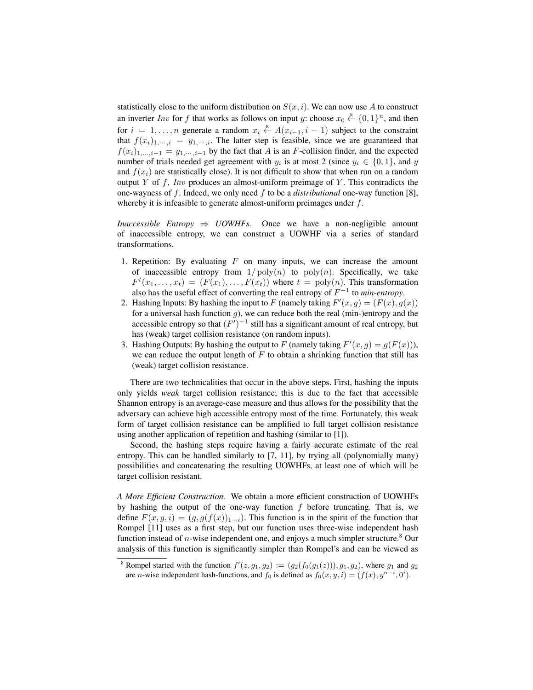statistically close to the uniform distribution on  $S(x, i)$ . We can now use A to construct an inverter Inv for f that works as follows on input y: choose  $x_0 \stackrel{\text{R}}{\leftarrow} \{0,1\}^n$ , and then for  $i = 1, \ldots, n$  generate a random  $x_i \stackrel{\text{R}}{\leftarrow} A(x_{i-1}, i-1)$  subject to the constraint that  $f(x_i)_{1,\dots,i} = y_{1,\dots,i}$ . The latter step is feasible, since we are guaranteed that  $f(x_i)_{1,\ldots,i-1} = y_{1,\ldots,i-1}$  by the fact that A is an F-collision finder, and the expected number of trials needed get agreement with  $y_i$  is at most 2 (since  $y_i \in \{0, 1\}$ , and y and  $f(x_i)$  are statistically close). It is not difficult to show that when run on a random output Y of f, Inv produces an almost-uniform preimage of Y. This contradicts the one-wayness of f. Indeed, we only need f to be a *distributional* one-way function [8], whereby it is infeasible to generate almost-uniform preimages under f.

*Inaccessible Entropy*  $\Rightarrow$  *UOWHFs.* Once we have a non-negligible amount of inaccessible entropy, we can construct a UOWHF via a series of standard transformations.

- 1. Repetition: By evaluating  $F$  on many inputs, we can increase the amount of inaccessible entropy from  $1/\text{poly}(n)$  to  $\text{poly}(n)$ . Specifically, we take  $F^t(x_1,\ldots,x_t) = (F(x_1),\ldots,F(x_t))$  where  $t = \text{poly}(n)$ . This transformation also has the useful effect of converting the real entropy of  $F^{-1}$  to *min-entropy*.
- 2. Hashing Inputs: By hashing the input to F (namely taking  $F'(x, g) = (F(x), g(x))$ for a universal hash function  $g$ ), we can reduce both the real (min-)entropy and the accessible entropy so that  $(F')^{-1}$  still has a significant amount of real entropy, but has (weak) target collision resistance (on random inputs).
- 3. Hashing Outputs: By hashing the output to F (namely taking  $F'(x, g) = g(F(x))$ ), we can reduce the output length of  $F$  to obtain a shrinking function that still has (weak) target collision resistance.

There are two technicalities that occur in the above steps. First, hashing the inputs only yields *weak* target collision resistance; this is due to the fact that accessible Shannon entropy is an average-case measure and thus allows for the possibility that the adversary can achieve high accessible entropy most of the time. Fortunately, this weak form of target collision resistance can be amplified to full target collision resistance using another application of repetition and hashing (similar to [1]).

Second, the hashing steps require having a fairly accurate estimate of the real entropy. This can be handled similarly to [7, 11], by trying all (polynomially many) possibilities and concatenating the resulting UOWHFs, at least one of which will be target collision resistant.

*A More Efficient Construction.* We obtain a more efficient construction of UOWHFs by hashing the output of the one-way function  $f$  before truncating. That is, we define  $F(x, q, i) = (q, q(f(x))_{1 \cdots i})$ . This function is in the spirit of the function that Rompel [11] uses as a first step, but our function uses three-wise independent hash function instead of *n*-wise independent one, and enjoys a much simpler structure.<sup>8</sup> Our analysis of this function is significantly simpler than Rompel's and can be viewed as

<sup>&</sup>lt;sup>8</sup> Rompel started with the function  $f'(z, g_1, g_2) := (g_2(f_0(g_1(z))), g_1, g_2)$ , where  $g_1$  and  $g_2$ are *n*-wise independent hash-functions, and  $f_0$  is defined as  $f_0(x, y, i) = (f(x), y^{n-i}, 0^i)$ .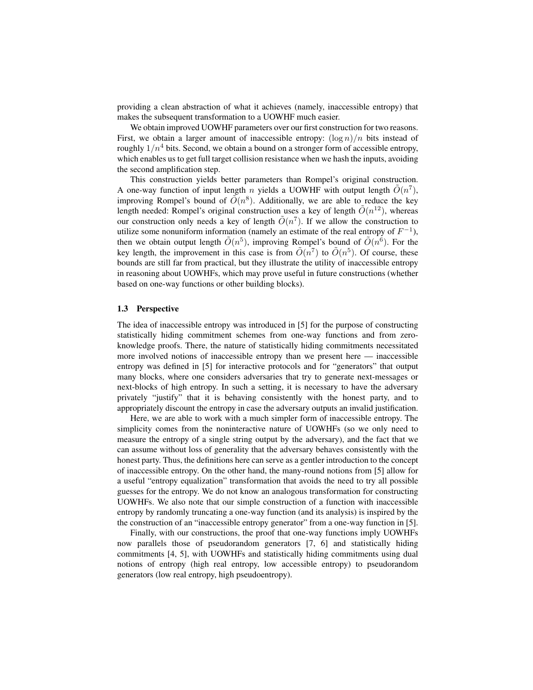providing a clean abstraction of what it achieves (namely, inaccessible entropy) that makes the subsequent transformation to a UOWHF much easier.

We obtain improved UOWHF parameters over our first construction for two reasons. First, we obtain a larger amount of inaccessible entropy:  $(\log n)/n$  bits instead of roughly  $1/n<sup>4</sup>$  bits. Second, we obtain a bound on a stronger form of accessible entropy, which enables us to get full target collision resistance when we hash the inputs, avoiding the second amplification step.

This construction yields better parameters than Rompel's original construction. A one-way function of input length n yields a UOWHF with output length  $\tilde{O}(n^7)$ , improving Rompel's bound of  $\tilde{O}(n^8)$ . Additionally, we are able to reduce the key length needed: Rompel's original construction uses a key of length  $\tilde{O}(n^{12})$ , whereas our construction only needs a key of length  $\tilde{O}(n^7)$ . If we allow the construction to utilize some nonuniform information (namely an estimate of the real entropy of  $F^{-1}$ ), then we obtain output length  $\tilde{O}(n^5)$ , improving Rompel's bound of  $\tilde{O}(n^6)$ . For the key length, the improvement in this case is from  $\tilde{O}(n^7)$  to  $\tilde{O}(n^5)$ . Of course, these bounds are still far from practical, but they illustrate the utility of inaccessible entropy in reasoning about UOWHFs, which may prove useful in future constructions (whether based on one-way functions or other building blocks).

## 1.3 Perspective

The idea of inaccessible entropy was introduced in [5] for the purpose of constructing statistically hiding commitment schemes from one-way functions and from zeroknowledge proofs. There, the nature of statistically hiding commitments necessitated more involved notions of inaccessible entropy than we present here — inaccessible entropy was defined in [5] for interactive protocols and for "generators" that output many blocks, where one considers adversaries that try to generate next-messages or next-blocks of high entropy. In such a setting, it is necessary to have the adversary privately "justify" that it is behaving consistently with the honest party, and to appropriately discount the entropy in case the adversary outputs an invalid justification.

Here, we are able to work with a much simpler form of inaccessible entropy. The simplicity comes from the noninteractive nature of UOWHFs (so we only need to measure the entropy of a single string output by the adversary), and the fact that we can assume without loss of generality that the adversary behaves consistently with the honest party. Thus, the definitions here can serve as a gentler introduction to the concept of inaccessible entropy. On the other hand, the many-round notions from [5] allow for a useful "entropy equalization" transformation that avoids the need to try all possible guesses for the entropy. We do not know an analogous transformation for constructing UOWHFs. We also note that our simple construction of a function with inaccessible entropy by randomly truncating a one-way function (and its analysis) is inspired by the the construction of an "inaccessible entropy generator" from a one-way function in [5].

Finally, with our constructions, the proof that one-way functions imply UOWHFs now parallels those of pseudorandom generators [7, 6] and statistically hiding commitments [4, 5], with UOWHFs and statistically hiding commitments using dual notions of entropy (high real entropy, low accessible entropy) to pseudorandom generators (low real entropy, high pseudoentropy).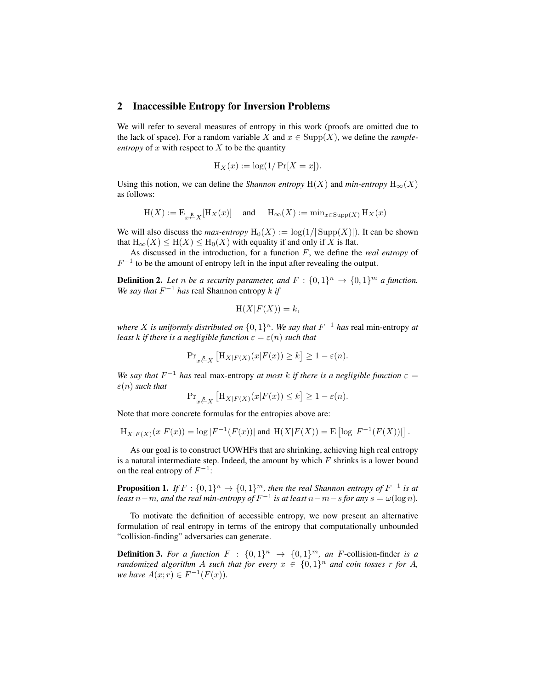## 2 Inaccessible Entropy for Inversion Problems

We will refer to several measures of entropy in this work (proofs are omitted due to the lack of space). For a random variable X and  $x \in \text{Supp}(X)$ , we define the *sampleentropy* of  $x$  with respect to  $X$  to be the quantity

$$
H_X(x) := \log(1/\Pr[X = x]).
$$

Using this notion, we can define the *Shannon entropy*  $H(X)$  and *min-entropy*  $H_{\infty}(X)$ as follows:

$$
H(X) := E_{x \leftarrow X} [H_X(x)] \quad \text{and} \quad H_{\infty}(X) := \min_{x \in \text{Supp}(X)} H_X(x)
$$

We will also discuss the *max-entropy*  $H_0(X) := \log(1/|\text{Supp}(X)|)$ . It can be shown that  $H_{\infty}(X) \leq H(X) \leq H_0(X)$  with equality if and only if X is flat.

As discussed in the introduction, for a function F, we define the *real entropy* of  $F^{-1}$  to be the amount of entropy left in the input after revealing the output.

**Definition 2.** Let n be a security parameter, and  $F: \{0,1\}^n \rightarrow \{0,1\}^m$  a function. *We say that*  $F^{-1}$  *has* real Shannon entropy k *if* 

$$
H(X|F(X)) = k,
$$

*where* X is uniformly distributed on  $\{0,1\}^n$ . We say that  $F^{-1}$  has real min-entropy at *least* k *if there is a negligible function*  $\varepsilon = \varepsilon(n)$  *such that* 

$$
\Pr_{x \stackrel{R}{\leftarrow} X} \left[ H_{X|F(X)}(x|F(x)) \ge k \right] \ge 1 - \varepsilon(n).
$$

*We say that*  $F^{-1}$  *has* real max-entropy *at most k if there is a negligible function*  $\varepsilon =$  $\varepsilon(n)$  *such that* 

$$
\mathrm{Pr}_{x \leftarrow X} \left[ \mathrm{H}_{X \mid F(X)}(x \mid F(x)) \leq k \right] \geq 1 - \varepsilon(n).
$$

Note that more concrete formulas for the entropies above are:

$$
H_{X|F(X)}(x|F(x)) = \log |F^{-1}(F(x))| \text{ and } H(X|F(X)) = E [\log |F^{-1}(F(X))|].
$$

As our goal is to construct UOWHFs that are shrinking, achieving high real entropy is a natural intermediate step. Indeed, the amount by which  $F$  shrinks is a lower bound on the real entropy of  $F^{-1}$ :

**Proposition 1.** If  $F : \{0,1\}^n \to \{0,1\}^m$ , then the real Shannon entropy of  $F^{-1}$  is at *least*  $n - m$ , and the real min-entropy of  $F^{-1}$  is at least  $n - m - s$  for any  $s = \omega(\log n)$ .

To motivate the definition of accessible entropy, we now present an alternative formulation of real entropy in terms of the entropy that computationally unbounded "collision-finding" adversaries can generate.

**Definition 3.** For a function  $F : \{0,1\}^n \rightarrow \{0,1\}^m$ , an F-collision-finder is a *randomized algorithm A such that for every*  $x \in \{0,1\}^n$  *and coin tosses* r for A, *we have*  $A(x; r) \in F^{-1}(F(x))$ .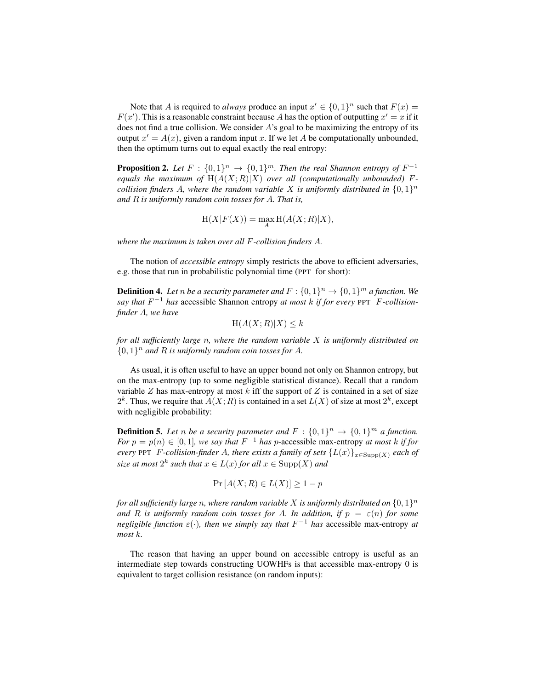Note that A is required to *always* produce an input  $x' \in \{0,1\}^n$  such that  $F(x) =$  $F(x')$ . This is a reasonable constraint because A has the option of outputting  $x' = x$  if it does not find a true collision. We consider A's goal to be maximizing the entropy of its output  $x' = A(x)$ , given a random input x. If we let A be computationally unbounded, then the optimum turns out to equal exactly the real entropy:

**Proposition 2.** Let  $F: \{0,1\}^n \rightarrow \{0,1\}^m$ . Then the real Shannon entropy of  $F^{-1}$ *equals the maximum of*  $H(A(X;R)|X)$  *over all (computationally unbounded)*  $F$ *collision finders A, where the random variable X is uniformly distributed in*  $\{0,1\}^n$ *and* R *is uniformly random coin tosses for* A*. That is,*

$$
H(X|F(X)) = \max_{A} H(A(X;R)|X),
$$

*where the maximum is taken over all* F*-collision finders* A*.*

The notion of *accessible entropy* simply restricts the above to efficient adversaries, e.g. those that run in probabilistic polynomial time (PPT for short):

**Definition 4.** Let n be a security parameter and  $F: \{0,1\}^n \rightarrow \{0,1\}^m$  a function. We *say that* F <sup>−</sup><sup>1</sup> *has* accessible Shannon entropy *at most* k *if for every* PPT F*-collisionfinder* A*, we have*

$$
H(A(X;R)|X) \le k
$$

*for all sufficiently large* n*, where the random variable* X *is uniformly distributed on*  $\{0,1\}^n$  and R is uniformly random coin tosses for A.

As usual, it is often useful to have an upper bound not only on Shannon entropy, but on the max-entropy (up to some negligible statistical distance). Recall that a random variable  $Z$  has max-entropy at most  $k$  iff the support of  $Z$  is contained in a set of size  $2^k$ . Thus, we require that  $A(X;R)$  is contained in a set  $L(X)$  of size at most  $2^k$ , except with negligible probability:

**Definition 5.** Let n be a security parameter and  $F: \{0,1\}^n \rightarrow \{0,1\}^m$  a function. *For*  $p = p(n) \in [0, 1]$ *, we say that*  $F^{-1}$  *has* p-accessible max-entropy *at most* k *if for every* PPT F-collision-finder A, there exists a family of sets  $\{L(x)\}_{x\in \text{Supp}(X)}$  each of *size at most*  $2^k$  *such that*  $x \in L(x)$  *for all*  $x \in \text{Supp}(X)$  *and* 

$$
\Pr\left[A(X;R)\in L(X)\right]\geq 1-p
$$

*for all sufficiently large* n*, where random variable* X *is uniformly distributed on* {0, 1} n *and* R *is uniformly random coin tosses for* A. In addition, if  $p = \varepsilon(n)$  for some *negligible function*  $\varepsilon(\cdot)$ *, then we simply say that*  $F^{-1}$  *has* accessible max-entropy *at most* k*.*

The reason that having an upper bound on accessible entropy is useful as an intermediate step towards constructing UOWHFs is that accessible max-entropy 0 is equivalent to target collision resistance (on random inputs):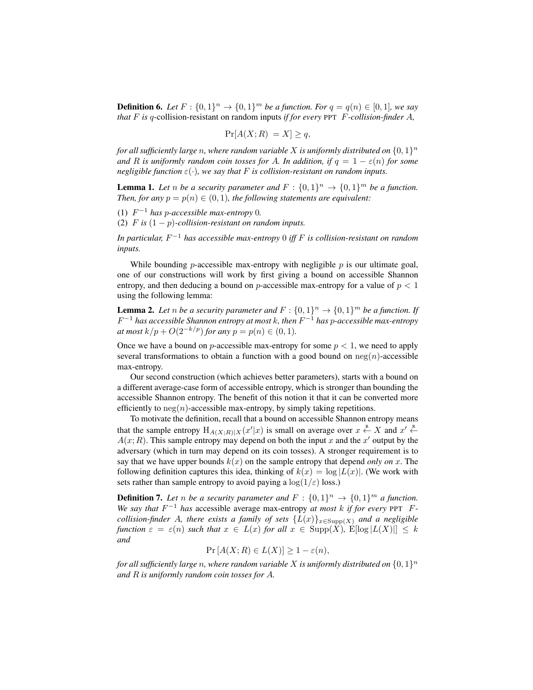**Definition 6.** Let  $F: \{0,1\}^n \to \{0,1\}^m$  be a function. For  $q = q(n) \in [0,1]$ , we say *that* F *is* q-collision-resistant on random inputs *if for every* PPT F*-collision-finder* A*,*

$$
\Pr[A(X;R) = X] \ge q,
$$

for all sufficiently large  $n$ , where random variable  $X$  is uniformly distributed on  $\{0,1\}^n$ *and* R *is uniformly random coin tosses for* A. In addition, if  $q = 1 - \varepsilon(n)$  for some *negligible function*  $\varepsilon(\cdot)$ *, we say that* F *is collision-resistant on random inputs.* 

**Lemma 1.** Let *n* be a security parameter and  $F: \{0,1\}^n \to \{0,1\}^m$  be a function. *Then, for any*  $p = p(n) \in (0, 1)$ *, the following statements are equivalent:* 

(1)  $F^{-1}$  has p-accessible max-entropy 0.

(2)  $F$  *is*  $(1 - p)$ -collision-resistant on random inputs.

*In particular,* F <sup>−</sup><sup>1</sup> *has accessible max-entropy* 0 *iff* F *is collision-resistant on random inputs.*

While bounding *p*-accessible max-entropy with negligible *p* is our ultimate goal, one of our constructions will work by first giving a bound on accessible Shannon entropy, and then deducing a bound on p-accessible max-entropy for a value of  $p < 1$ using the following lemma:

**Lemma 2.** Let *n* be a security parameter and  $F: \{0,1\}^n \to \{0,1\}^m$  be a function. If F <sup>−</sup><sup>1</sup> *has accessible Shannon entropy at most* k*, then* F <sup>−</sup><sup>1</sup> *has* p*-accessible max-entropy at most*  $k/p + O(2^{-k/p})$  *for any*  $p = p(n) \in (0, 1)$ *.* 

Once we have a bound on *p*-accessible max-entropy for some  $p < 1$ , we need to apply several transformations to obtain a function with a good bound on  $neg(n)$ -accessible max-entropy.

Our second construction (which achieves better parameters), starts with a bound on a different average-case form of accessible entropy, which is stronger than bounding the accessible Shannon entropy. The benefit of this notion it that it can be converted more efficiently to  $neg(n)$ -accessible max-entropy, by simply taking repetitions.

To motivate the definition, recall that a bound on accessible Shannon entropy means that the sample entropy  $H_{A(X;R)|X}(x'|x)$  is small on average over  $x \stackrel{\mathbb{R}}{\leftarrow} X$  and  $x' \stackrel{\mathbb{R}}{\leftarrow} X$  $A(x; R)$ . This sample entropy may depend on both the input x and the x' output by the adversary (which in turn may depend on its coin tosses). A stronger requirement is to say that we have upper bounds  $k(x)$  on the sample entropy that depend *only on* x. The following definition captures this idea, thinking of  $k(x) = \log |L(x)|$ . (We work with sets rather than sample entropy to avoid paying a  $\log(1/\varepsilon)$  loss.)

**Definition 7.** Let n be a security parameter and  $F: \{0,1\}^n \rightarrow \{0,1\}^m$  a function. *We say that*  $F^{-1}$  *has* accessible average max-entropy *at most k if for every* PPT  $F$ *collision-finder* A, there exists a family of sets  $\{L(x)\}_{x \in \text{Supp}(X)}$  and a negligible *function*  $\varepsilon = \varepsilon(n)$  *such that*  $x \in L(x)$  *for all*  $x \in \text{Supp}(\overline{X})$ *,*  $\text{E}[\log |L(X)|] \leq k$ *and*

$$
\Pr\left[A(X;R)\in L(X)\right]\geq 1-\varepsilon(n),
$$

*for all sufficiently large* n*, where random variable* X *is uniformly distributed on* {0, 1} n *and* R *is uniformly random coin tosses for* A*.*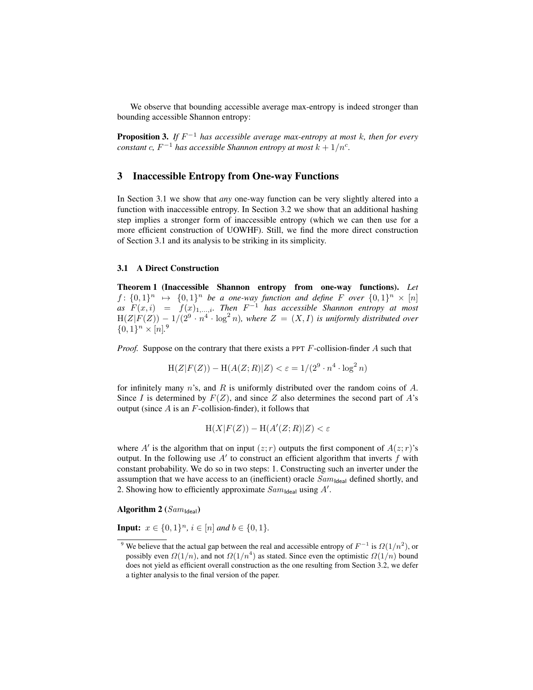We observe that bounding accessible average max-entropy is indeed stronger than bounding accessible Shannon entropy:

**Proposition 3.** *If*  $F^{-1}$  *has accessible average max-entropy at most k, then for every constant*  $c$ ,  $F^{-1}$  has accessible Shannon entropy at most  $k + 1/n^c$ .

## 3 Inaccessible Entropy from One-way Functions

In Section 3.1 we show that *any* one-way function can be very slightly altered into a function with inaccessible entropy. In Section 3.2 we show that an additional hashing step implies a stronger form of inaccessible entropy (which we can then use for a more efficient construction of UOWHF). Still, we find the more direct construction of Section 3.1 and its analysis to be striking in its simplicity.

## 3.1 A Direct Construction

Theorem 1 (Inaccessible Shannon entropy from one-way functions). *Let*  $f: \{0,1\}^n \mapsto \{0,1\}^n$  be a one-way function and define F over  $\{0,1\}^n \times [n]$ as  $F(x, i) = f(x)_{1,...,i}$ *. Then*  $F^{-1}$  *has accessible Shannon entropy at most*  $H(Z|F(Z)) - 1/(2^9 \cdot n^4 \cdot \log^2 n)$ , where  $Z = (X, I)$  is uniformly distributed over  $\{0,1\}^n \times [n]$ .<sup>9</sup>

*Proof.* Suppose on the contrary that there exists a PPT F-collision-finder A such that

$$
H(Z|F(Z)) - H(A(Z;R)|Z) < \varepsilon = 1/(2^9 \cdot n^4 \cdot \log^2 n)
$$

for infinitely many  $n$ 's, and  $R$  is uniformly distributed over the random coins of  $A$ . Since I is determined by  $F(Z)$ , and since Z also determines the second part of A's output (since  $A$  is an  $F$ -collision-finder), it follows that

$$
H(X|F(Z)) - H(A'(Z;R)|Z) < \varepsilon
$$

where A' is the algorithm that on input  $(z; r)$  outputs the first component of  $A(z; r)$ 's output. In the following use  $A'$  to construct an efficient algorithm that inverts  $f$  with constant probability. We do so in two steps: 1. Constructing such an inverter under the assumption that we have access to an (inefficient) oracle  $Sam_{Ideal}$  defined shortly, and 2. Showing how to efficiently approximate  $Sam_{\text{Ideal}}$  using  $A'$ .

Algorithm 2  $(Sam_{\text{Ideal}})$ 

**Input:**  $x \in \{0, 1\}^n$ ,  $i \in [n]$  and  $b \in \{0, 1\}$ .

<sup>&</sup>lt;sup>9</sup> We believe that the actual gap between the real and accessible entropy of  $F^{-1}$  is  $\Omega(1/n^2)$ , or possibly even  $\Omega(1/n)$ , and not  $\Omega(1/n^4)$  as stated. Since even the optimistic  $\Omega(1/n)$  bound does not yield as efficient overall construction as the one resulting from Section 3.2, we defer a tighter analysis to the final version of the paper.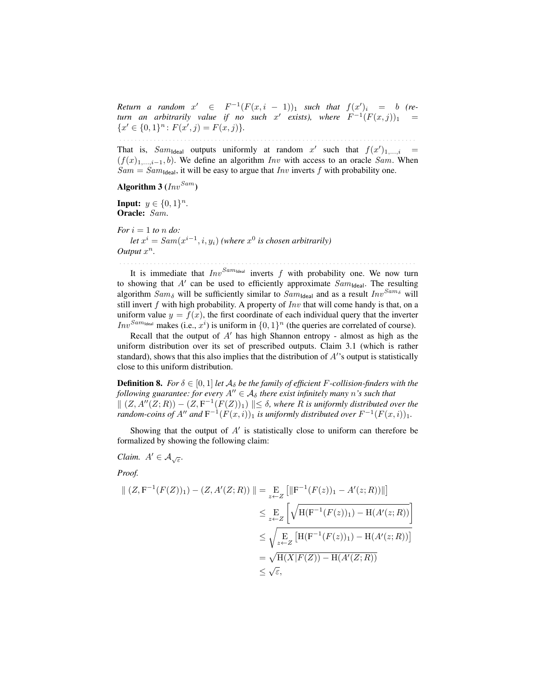*Return a random*  $x' \in F^{-1}(F(x, i - 1))$  *such that*  $f(x')_i = b$  *(return an arbitrarily value if no such x' exists), where*  $F^{-1}(F(x,j))_1 =$  ${x' \in \{0,1\}^n : F(x',j) = F(x,j)}.$ *. . . . . . . . . . . . . . . . . . . . . . . . . . . . . . . . . . . . . . . . . . . . . . . . . . . . . . . . . . . . . . . . . . . . . . . . . . . . . .*

That is,  $Sam_{\text{Ideal}}$  outputs uniformly at random x' such that  $f(x')_{1,\dots,i}$  =  $(f(x))_{1,\dots,i-1}, b$ ). We define an algorithm Inv with access to an oracle Sam. When  $Sam = Sam_{Ideal}$ , it will be easy to argue that Inv inverts f with probability one.

Algorithm  $3 (Inv^{Sam})$ 

**Input:**  $y \in \{0, 1\}^n$ . Oracle: Sam*.*

*For*  $i = 1$  *to*  $n$  *do:*  $let\ x^i = Sam(x^{i-1},i,y_i)$  (where  $x^0$  is chosen arbitrarily)  $Output x^n.$ 

It is immediate that  $Inv^{Sam_{ideal}}$  inverts f with probability one. We now turn to showing that  $A'$  can be used to efficiently approximate  $Sam_{\text{Ideal}}$ . The resulting algorithm  $Sam_{\delta}$  will be sufficiently similar to  $Sam_{\delta}$  and as a result  $Inv^{Sam_{\delta}}$  will still invert  $f$  with high probability. A property of  $Inv$  that will come handy is that, on a uniform value  $y = f(x)$ , the first coordinate of each individual query that the inverter  $Inv^{Sam_{\text{Ideal}}}$  makes (i.e.,  $x^i$ ) is uniform in  $\{0, 1\}^n$  (the queries are correlated of course).

*. . . . . . . . . . . . . . . . . . . . . . . . . . . . . . . . . . . . . . . . . . . . . . . . . . . . . . . . . . . . . . . . . . . . . . . . . . . . . .*

Recall that the output of  $A<sup>'</sup>$  has high Shannon entropy - almost as high as the uniform distribution over its set of prescribed outputs. Claim 3.1 (which is rather standard), shows that this also implies that the distribution of  $A$ 's output is statistically close to this uniform distribution.

**Definition 8.** *For*  $\delta \in [0,1]$  *let*  $\mathcal{A}_{\delta}$  *be the family of efficient F*-collision-finders with the *following guarantee: for every*  $A'' \in A_\delta$  *there exist infinitely many n's such that*  $\Vert (Z, A''(Z; R)) - (Z, F^{-1}(F(Z))_1) \Vert \le \delta$ , where R is uniformly distributed over the *random-coins of*  $A''$  *and*  $F^{-1}(F(x,i))_1$  *is uniformly distributed over*  $F^{-1}(F(x,i))_1$ *.* 

Showing that the output of  $A'$  is statistically close to uniform can therefore be formalized by showing the following claim:

*Claim.*  $A' \in \mathcal{A}_{\sqrt{\varepsilon}}$ .

*Proof.*

$$
\| (Z, \mathbf{F}^{-1}(F(Z))_1) - (Z, A'(Z; R)) \| = \underset{z \leftarrow Z}{\mathbb{E}} \left[ \| \mathbf{F}^{-1}(F(z))_1 - A'(z; R) \right] \| \right]
$$
  
\n
$$
\leq \underset{z \leftarrow Z}{\mathbb{E}} \left[ \sqrt{\mathbf{H}(\mathbf{F}^{-1}(F(z))_1) - \mathbf{H}(A'(z; R))} \right]
$$
  
\n
$$
\leq \sqrt{\underset{z \leftarrow Z}{\mathbb{E}} \left[ \mathbf{H}(\mathbf{F}^{-1}(F(z))_1) - \mathbf{H}(A'(z; R)) \right]}
$$
  
\n
$$
= \sqrt{\mathbf{H}(X|F(Z)) - \mathbf{H}(A'(Z; R))}
$$
  
\n
$$
\leq \sqrt{\varepsilon},
$$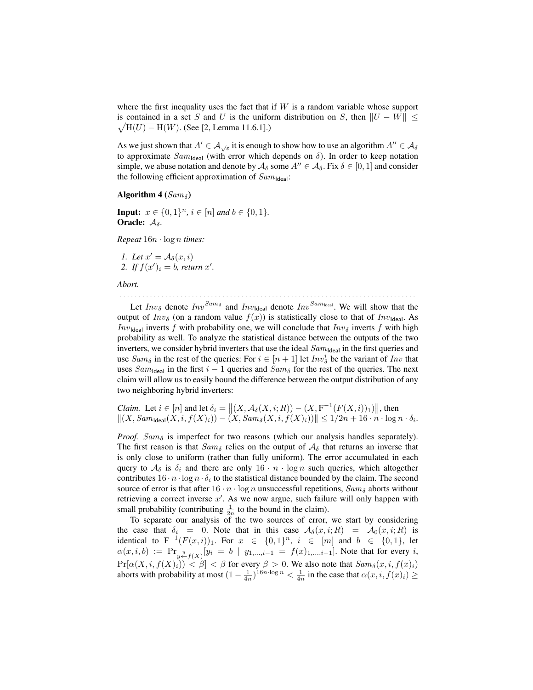where the first inequality uses the fact that if  $W$  is a random variable whose support  $\sqrt{H(U) - H(W)}$ . (See [2, Lemma 11.6.1].) is contained in a set S and U is the uniform distribution on S, then  $||U - W|| \le$ 

As we just shown that  $A' \in \mathcal{A}_{\sqrt{\varepsilon}}$  it is enough to show how to use an algorithm  $A'' \in \mathcal{A}_{\delta}$ to approximate  $Sam_{\text{Ideal}}$  (with error which depends on  $\delta$ ). In order to keep notation simple, we abuse notation and denote by  $A_\delta$  some  $A'' \in A_\delta$ . Fix  $\delta \in [0, 1]$  and consider the following efficient approximation of  $Sam_{\text{Ideal}}$ :

Algorithm 4 ( $Sam_{\delta}$ )

**Input:**  $x \in \{0, 1\}^n$ ,  $i \in [n]$  and  $b \in \{0, 1\}$ . **Oracle:**  $A_{\delta}$ .

*Repeat* 16n · log n *times:*

*1.* Let  $x' = A_\delta(x, i)$ 2. If  $f(x')_i = b$ , return x'.

*Abort.*

Let  $Inv_{\delta}$  denote  $Inv^{Sam_{\delta}}$  and  $Inv_{\delta}$  denote  $Inv^{Sam_{\delta}}$ . We will show that the output of  $Inv_{\delta}$  (on a random value  $f(x)$ ) is statistically close to that of  $Inv_{\delta}$ . As  $Inv<sub>Ideal</sub>$  inverts f with probability one, we will conclude that  $Inv<sub>δ</sub>$  inverts f with high probability as well. To analyze the statistical distance between the outputs of the two inverters, we consider hybrid inverters that use the ideal  $Sam_{\text{Ideal}}$  in the first queries and use  $Sam_{\delta}$  in the rest of the queries: For  $i \in [n+1]$  let  $Inv_{\delta}^{i}$  be the variant of  $Inv$  that uses  $Sam_{\text{Ideal}}$  in the first  $i - 1$  queries and  $Sam_{\delta}$  for the rest of the queries. The next claim will allow us to easily bound the difference between the output distribution of any two neighboring hybrid inverters:

*. . . . . . . . . . . . . . . . . . . . . . . . . . . . . . . . . . . . . . . . . . . . . . . . . . . . . . . . . . . . . . . . . . . . . . . . . . . . . .*

*Claim.* Let  $i \in [n]$  and let  $\delta_i = \left\| (X, \mathcal{A}_{\delta}(X, i; R)) - (X, F^{-1}(F(X, i))_{1}) \right\|$ , then  $||(X, Sam_{\text{Ideal}}(X, i, f(X)_i)) - (X, Sam_{\delta}(X, i, f(X)_i))|| \leq 1/2n + 16 \cdot n \cdot \log n \cdot \delta_i.$ 

*Proof.* Sam $_{\delta}$  is imperfect for two reasons (which our analysis handles separately). The first reason is that  $Sam_{\delta}$  relies on the output of  $A_{\delta}$  that returns an inverse that is only close to uniform (rather than fully uniform). The error accumulated in each query to  $\mathcal{A}_{\delta}$  is  $\delta_i$  and there are only  $16 \cdot n \cdot \log n$  such queries, which altogether contributes  $16 \cdot n \cdot \log n \cdot \delta_i$  to the statistical distance bounded by the claim. The second source of error is that after  $16 \cdot n \cdot \log n$  unsuccessful repetitions,  $Sam_{\delta}$  aborts without retrieving a correct inverse  $x'$ . As we now argue, such failure will only happen with small probability (contributing  $\frac{1}{2n}$  to the bound in the claim).

To separate our analysis of the two sources of error, we start by considering the case that  $\delta_i = 0$ . Note that in this case  $\mathcal{A}_{\delta}(x, i; R) = \mathcal{A}_0(x, i; R)$  is identical to F<sup>-1</sup>( $F(x, i)$ )<sub>1</sub>. For  $x \in \{0, 1\}^n$ ,  $i \in [m]$  and  $b \in \{0, 1\}$ , let  $\alpha(x, i, b) := \Pr_{\substack{y \in f(X)}} [y_i = b \mid y_{1, \dots, i-1} = f(x)_{1, \dots, i-1}]$ . Note that for every i,  $Pr[\alpha(X, i, f(X), i)) < \beta] < \beta$  for every  $\beta > 0$ . We also note that  $Sam_{\delta}(x, i, f(x), i)$ aborts with probability at most  $(1 - \frac{1}{4n})^{16n \cdot \log n} < \frac{1}{4n}$  in the case that  $\alpha(x, i, f(x)_i) \ge$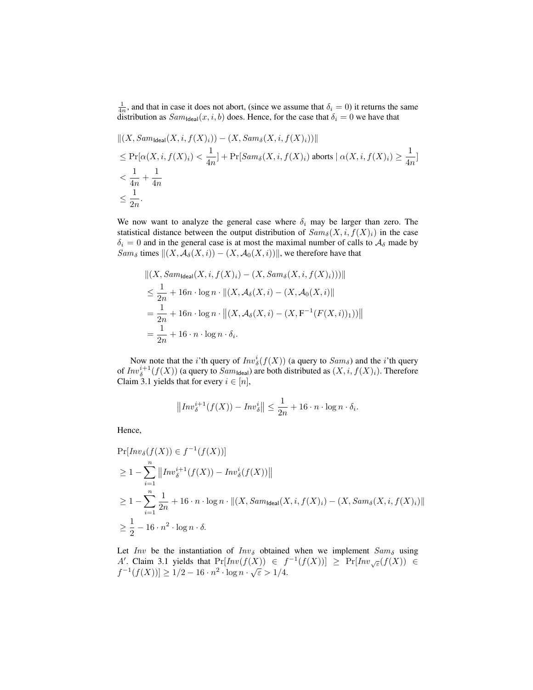$\frac{1}{4n}$ , and that in case it does not abort, (since we assume that  $\delta_i = 0$ ) it returns the same distribution as  $Sam_{\text{Ideal}}(x, i, b)$  does. Hence, for the case that  $\delta_i = 0$  we have that

$$
||(X, Sam_{\text{ideal}}(X, i, f(X)_i)) - (X, Sam_{\delta}(X, i, f(X)_i))||
$$
  
\n
$$
\leq \Pr[\alpha(X, i, f(X)_i) < \frac{1}{4n}] + \Pr[Sam_{\delta}(X, i, f(X)_i) \text{ aborts } | \alpha(X, i, f(X)_i) \geq \frac{1}{4n}]
$$
  
\n
$$
\leq \frac{1}{4n} + \frac{1}{4n}
$$
  
\n
$$
\leq \frac{1}{2n}.
$$

We now want to analyze the general case where  $\delta_i$  may be larger than zero. The statistical distance between the output distribution of  $Sam_{\delta}(X, i, f(X)_i)$  in the case  $\delta_i = 0$  and in the general case is at most the maximal number of calls to  $A_\delta$  made by  $Sam_{\delta}$  times  $||(X, A_{\delta}(X, i)) - (X, A_0(X, i))||$ , we therefore have that

$$
||(X, Sam_{\text{Ideal}}(X, i, f(X)_i) - (X, Sam_{\delta}(X, i, f(X)_i)))||
$$
  
\n
$$
\leq \frac{1}{2n} + 16n \cdot \log n \cdot ||(X, \mathcal{A}_{\delta}(X, i) - (X, \mathcal{A}_{0}(X, i))||
$$
  
\n
$$
= \frac{1}{2n} + 16n \cdot \log n \cdot ||(X, \mathcal{A}_{\delta}(X, i) - (X, F^{-1}(F(X, i))_{1}))||
$$
  
\n
$$
= \frac{1}{2n} + 16 \cdot n \cdot \log n \cdot \delta_{i}.
$$

Now note that the *i*'th query of  $Inv_{\delta}^{i}(f(X))$  (a query to  $Sam_{\delta}$ ) and the *i*'th query of  $Inv_{\delta}^{i+1}(f(X))$  (a query to  $Sam_{\text{Ideal}}$ ) are both distributed as  $(X, i, f(X)_i)$ . Therefore Claim 3.1 yields that for every  $i \in [n]$ ,

$$
\left\| \operatorname{Inv}_{\delta}^{i+1}(f(X)) - \operatorname{Inv}_{\delta}^{i} \right\| \leq \frac{1}{2n} + 16 \cdot n \cdot \log n \cdot \delta_{i}.
$$

Hence,

$$
\Pr[Inv_{\delta}(f(X)) \in f^{-1}(f(X))]
$$
\n
$$
\geq 1 - \sum_{i=1}^{n} ||Inv_{\delta}^{i+1}(f(X)) - Inv_{\delta}^{i}(f(X))||
$$
\n
$$
\geq 1 - \sum_{i=1}^{n} \frac{1}{2n} + 16 \cdot n \cdot \log n \cdot ||(X, Sam_{\text{Ideal}}(X, i, f(X)_{i}) - (X, Sam_{\delta}(X, i, f(X)_{i}))||
$$
\n
$$
\geq \frac{1}{2} - 16 \cdot n^{2} \cdot \log n \cdot \delta.
$$

Let Inv be the instantiation of Inv<sub>δ</sub> obtained when we implement  $Sam_{\delta}$  using A'. Claim 3.1 yields that  $Pr[Inv(f(X)) \in f^{-1}(f(X))] \geq Pr[Inv_{\sqrt{\varepsilon}}(f(X)) \in$ A : Claim 5.1 yields that  $\frac{1}{2} \left[ ln(v(f(X)) \right] \leq 1$ <br> $f^{-1}(f(X)) \geq 1/2 - 16 \cdot n^2 \cdot \log n \cdot \sqrt{\varepsilon} > 1/4$ .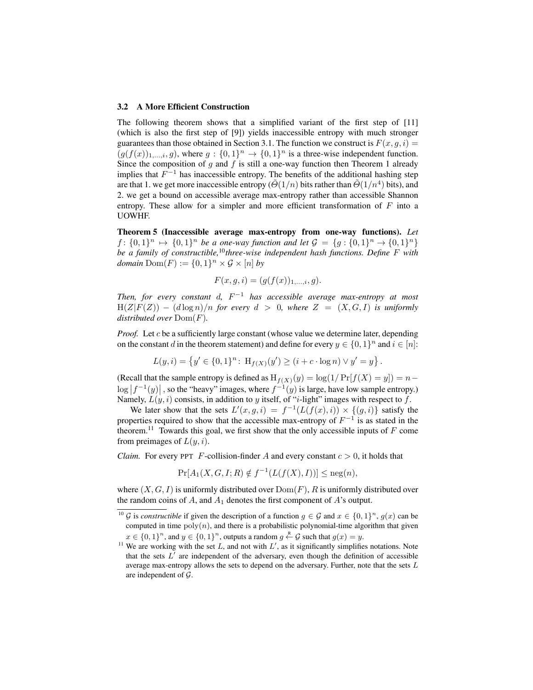## 3.2 A More Efficient Construction

The following theorem shows that a simplified variant of the first step of [11] (which is also the first step of [9]) yields inaccessible entropy with much stronger guarantees than those obtained in Section 3.1. The function we construct is  $F(x, q, i) =$  $(g(f(x))_{1,\ldots,i}, g)$ , where  $g: \{0,1\}^n \to \{0,1\}^n$  is a three-wise independent function. Since the composition of q and f is still a one-way function then Theorem 1 already implies that  $F^{-1}$  has inaccessible entropy. The benefits of the additional hashing step are that 1. we get more inaccessible entropy  $(\tilde{\Theta}(1/n)$  bits rather than  $\tilde{\Theta}(1/n^4)$  bits), and 2. we get a bound on accessible average max-entropy rather than accessible Shannon entropy. These allow for a simpler and more efficient transformation of  $F$  into a UOWHF.

Theorem 5 (Inaccessible average max-entropy from one-way functions). *Let*  $f: \{0,1\}^n \mapsto \{0,1\}^n$  be a one-way function and let  $\mathcal{G} = \{g: \{0,1\}^n \to \{0,1\}^n\}$ *be a family of constructible,*<sup>10</sup>*three-wise independent hash functions. Define* F *with*  $domain\,$   $Dom(F) := \{0,1\}^n \times G \times [n]$  *by* 

$$
F(x, g, i) = (g(f(x))_{1, ..., i}, g).
$$

*Then, for every constant* d*,* F <sup>−</sup><sup>1</sup> *has accessible average max-entropy at most*  $H(Z|F(Z)) - (d \log n)/n$  *for every*  $d > 0$ *, where*  $Z = (X, G, I)$  *is uniformly distributed over* Dom(F)*.*

*Proof.* Let c be a sufficiently large constant (whose value we determine later, depending on the constant d in the theorem statement) and define for every  $y \in \{0,1\}^n$  and  $i \in [n]$ :

$$
L(y,i) = \left\{ y' \in \{0,1\}^n : H_{f(X)}(y') \ge (i + c \cdot \log n) \vee y' = y \right\}.
$$

(Recall that the sample entropy is defined as  $H_{f(X)}(y) = \log(1/\Pr[f(X) = y]) = n \log |f^{-1}(y)|$ , so the "heavy" images, where  $f^{-1}(y)$  is large, have low sample entropy.) Namely,  $L(y, i)$  consists, in addition to y itself, of "*i*-light" images with respect to f.

We later show that the sets  $L'(x, g, i) = f^{-1}(L(f(x), i)) \times \{(g, i)\}\)$  satisfy the properties required to show that the accessible max-entropy of  $F^{-1}$  is as stated in the theorem.<sup>11</sup> Towards this goal, we first show that the only accessible inputs of  $F$  come from preimages of  $L(y, i)$ .

*Claim.* For every PPT F-collision-finder A and every constant  $c > 0$ , it holds that

 $Pr[A_1(X, G, I; R) \notin f^{-1}(L(f(X), I))] \leq neg(n),$ 

where  $(X, G, I)$  is uniformly distributed over  $Dom(F)$ , R is uniformly distributed over the random coins of A, and  $A_1$  denotes the first component of A's output.

<sup>&</sup>lt;sup>10</sup> G is *constructible* if given the description of a function  $g \in \mathcal{G}$  and  $x \in \{0,1\}^n$ ,  $g(x)$  can be computed in time  $poly(n)$ , and there is a probabilistic polynomial-time algorithm that given  $x \in \{0,1\}^n$ , and  $y \in \{0,1\}^n$ , outputs a random  $g \stackrel{\mathbb{R}}{\leftarrow} \mathcal{G}$  such that  $g(x) = y$ .

<sup>&</sup>lt;sup>11</sup> We are working with the set  $L$ , and not with  $L'$ , as it significantly simplifies notations. Note that the sets  $L'$  are independent of the adversary, even though the definition of accessible average max-entropy allows the sets to depend on the adversary. Further, note that the sets L are independent of  $\mathcal{G}$ .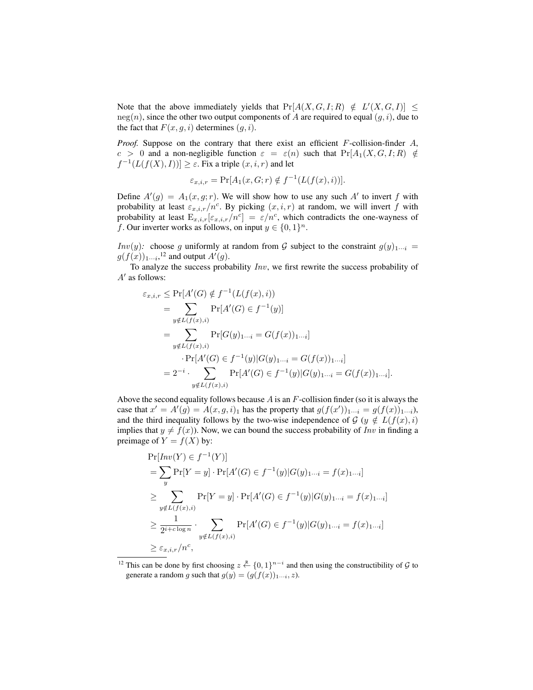Note that the above immediately yields that  $Pr[A(X, G, I; R) \notin L'(X, G, I)] \leq$  $neg(n)$ , since the other two output components of A are required to equal  $(g, i)$ , due to the fact that  $F(x, g, i)$  determines  $(g, i)$ .

*Proof.* Suppose on the contrary that there exist an efficient F-collision-finder A,  $c > 0$  and a non-negligible function  $\varepsilon = \varepsilon(n)$  such that  $Pr[A_1(X, G, I; R) \notin$  $f^{-1}(L(f(X), I))] \geq \varepsilon$ . Fix a triple  $(x, i, r)$  and let

$$
\varepsilon_{x,i,r} = \Pr[A_1(x, G; r) \notin f^{-1}(L(f(x), i))].
$$

Define  $A'(g) = A_1(x, g; r)$ . We will show how to use any such A' to invert f with probability at least  $\varepsilon_{x,i,r}/n^c$ . By picking  $(x,i,r)$  at random, we will invert f with probability at least  $E_{x,i,r}[\varepsilon_{x,i,r}/n^c] = \varepsilon/n^c$ , which contradicts the one-wayness of f. Our inverter works as follows, on input  $y \in \{0, 1\}^n$ .

*Inv(y)*: choose g uniformly at random from G subject to the constraint  $g(y)_{1 \cdots i}$  =  $g(f(x))_{1\cdots i}$ , <sup>12</sup> and output  $A'(g)$ .

To analyze the success probability  $Inv$ , we first rewrite the success probability of  $A'$  as follows:

$$
\varepsilon_{x,i,r} \leq \Pr[A'(G) \notin f^{-1}(L(f(x), i))
$$
\n
$$
= \sum_{y \notin L(f(x), i)} \Pr[A'(G) \in f^{-1}(y)]
$$
\n
$$
= \sum_{y \notin L(f(x), i)} \Pr[G(y)_{1 \cdots i} = G(f(x))_{1 \cdots i}]
$$
\n
$$
\cdot \Pr[A'(G) \in f^{-1}(y) | G(y)_{1 \cdots i} = G(f(x))_{1 \cdots i}]
$$
\n
$$
= 2^{-i} \cdot \sum_{y \notin L(f(x), i)} \Pr[A'(G) \in f^{-1}(y) | G(y)_{1 \cdots i} = G(f(x))_{1 \cdots i}].
$$

Above the second equality follows because  $A$  is an  $F$ -collision finder (so it is always the case that  $x' = A'(g) = A(x, g, i)_1$  has the property that  $g(f(x'))_{1 \cdots i} = g(f(x))_{1 \cdots i}$ , and the third inequality follows by the two-wise independence of  $\mathcal{G}$  ( $y \notin L(f(x), i)$ ) implies that  $y \neq f(x)$ ). Now, we can bound the success probability of Inv in finding a preimage of  $Y = f(X)$  by:

$$
\Pr[Inv(Y) \in f^{-1}(Y)]
$$
  
=  $\sum_{y} \Pr[Y = y] \cdot \Pr[A'(G) \in f^{-1}(y) | G(y)_{1\cdots i} = f(x)_{1\cdots i}]$   
 $\ge \sum_{y \notin L(f(x), i)} \Pr[Y = y] \cdot \Pr[A'(G) \in f^{-1}(y) | G(y)_{1\cdots i} = f(x)_{1\cdots i}]$   
 $\ge \frac{1}{2^{i+c \log n}} \cdot \sum_{y \notin L(f(x), i)} \Pr[A'(G) \in f^{-1}(y) | G(y)_{1\cdots i} = f(x)_{1\cdots i}]$   
 $\ge \varepsilon_{x,i,r}/n^c,$ 

<sup>&</sup>lt;sup>12</sup> This can be done by first choosing  $z \stackrel{R}{\leftarrow} \{0,1\}^{n-i}$  and then using the constructibility of  $\mathcal G$  to generate a random g such that  $g(y) = (g(f(x))_{1 \cdots i}, z)$ .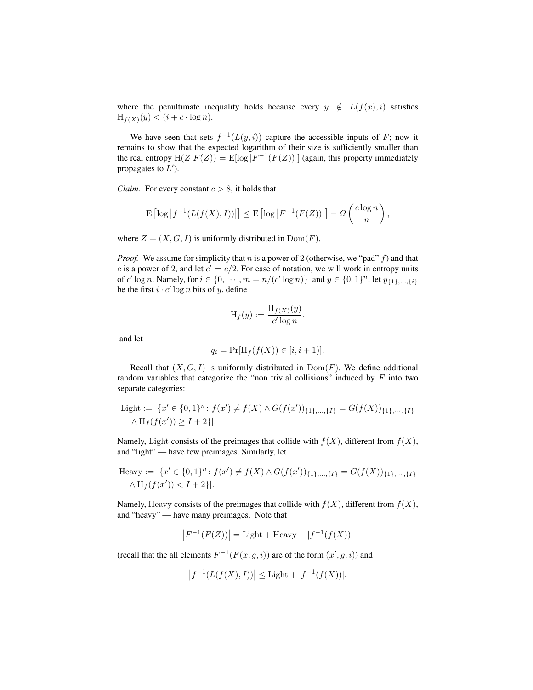where the penultimate inequality holds because every  $y \notin L(f(x), i)$  satisfies  $H_{f(X)}(y) < (i + c \cdot \log n).$ 

We have seen that sets  $f^{-1}(L(y, i))$  capture the accessible inputs of F; now it remains to show that the expected logarithm of their size is sufficiently smaller than the real entropy  $H(Z|F(Z)) = E[\log |F^{-1}(F(Z))|]$  (again, this property immediately propagates to  $L'$ ).

*Claim.* For every constant  $c > 8$ , it holds that

$$
\mathbb{E}\left[\log |f^{-1}(L(f(X), I))|\right] \le \mathbb{E}\left[\log |F^{-1}(F(Z))|\right] - \Omega\left(\frac{c\log n}{n}\right),
$$

where  $Z = (X, G, I)$  is uniformly distributed in  $Dom(F)$ .

*Proof.* We assume for simplicity that n is a power of 2 (otherwise, we "pad"  $f$ ) and that c is a power of 2, and let  $c' = c/2$ . For ease of notation, we will work in entropy units of c' log n. Namely, for  $i \in \{0, \dots, m = n/(c' \log n)\}\$ and  $y \in \{0, 1\}^n$ , let  $y_{\{1\}, \dots, \{i\}}$ be the first  $i \cdot c' \log n$  bits of y, define

$$
\mathrm{H}_f(y) := \frac{\mathrm{H}_{f(X)}(y)}{c' \log n}.
$$

and let

$$
q_i = Pr[H_f(f(X)) \in [i, i + 1)].
$$

Recall that  $(X, G, I)$  is uniformly distributed in  $Dom(F)$ . We define additional random variables that categorize the "non trivial collisions" induced by  $F$  into two separate categories:

Light := 
$$
|\{x' \in \{0,1\}^n : f(x') \neq f(X) \land G(f(x'))_{\{1\},..., \{I\}} = G(f(X))_{\{1\},..., \{I\}}
$$
  
  $\land$  H<sub>f</sub>( $f(x')$ )  $\geq I + 2\}$ .

Namely, Light consists of the preimages that collide with  $f(X)$ , different from  $f(X)$ , and "light" — have few preimages. Similarly, let

Heavy := |{x <sup>0</sup> ∈ {0, 1} n : f(x 0 ) 6= f(X) ∧ G(f(x 0 )){1},...,{I} = G(f(X)){1},··· ,{I} ∧ H<sup>f</sup> (f(x 0 )) < I + 2}|.

Namely, Heavy consists of the preimages that collide with  $f(X)$ , different from  $f(X)$ , and "heavy" — have many preimages. Note that

$$
|F^{-1}(F(Z))| = \text{Light} + \text{Heavy} + |f^{-1}(f(X))|
$$

(recall that the all elements  $F^{-1}(F(x, g, i))$  are of the form  $(x', g, i)$ ) and

$$
\left|f^{-1}(L(f(X), I))\right| \leq \text{Light} + |f^{-1}(f(X))|.
$$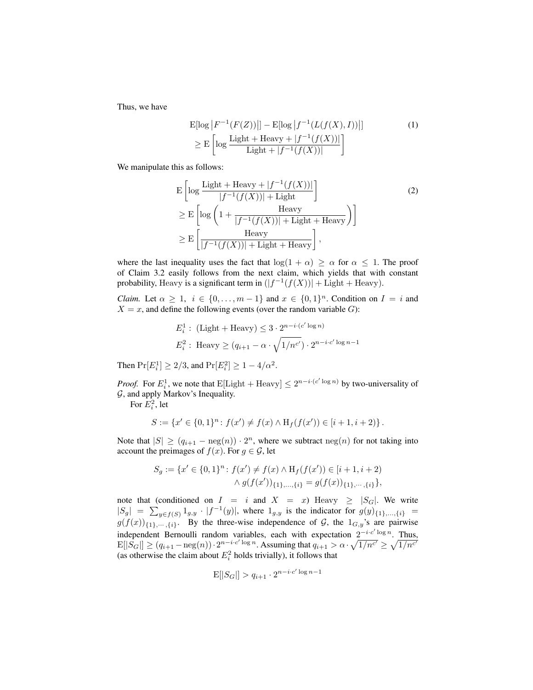Thus, we have

$$
E[\log |F^{-1}(F(Z))|] - E[\log |f^{-1}(L(f(X), I))|]
$$
  
\n
$$
\geq E\left[\log \frac{\text{Light} + \text{Heavy} + |f^{-1}(f(X))|}{\text{Light} + |f^{-1}(f(X))|}\right]
$$
 (1)

We manipulate this as follows:

$$
E\left[\log\frac{\text{Light} + \text{Heavy} + |f^{-1}(f(X))|}{|f^{-1}(f(X))| + \text{Light}}\right]
$$
\n
$$
\geq E\left[\log\left(1 + \frac{\text{Heavy}}{|f^{-1}(f(X))| + \text{Light} + \text{Heavy}}\right)\right]
$$
\n
$$
\geq E\left[\frac{\text{Heavy}}{|f^{-1}(f(X))| + \text{Light} + \text{Heavy}}\right],
$$
\n(2)

where the last inequality uses the fact that  $\log(1 + \alpha) \ge \alpha$  for  $\alpha \le 1$ . The proof of Claim 3.2 easily follows from the next claim, which yields that with constant probability, Heavy is a significant term in  $(|f^{-1}(f(X))| + \text{Light} + \text{Heavy})$ .

*Claim.* Let  $\alpha \geq 1$ ,  $i \in \{0, \ldots, m-1\}$  and  $x \in \{0,1\}^n$ . Condition on  $I = i$  and  $X = x$ , and define the following events (over the random variable G):

$$
E_i^1: \text{ (Light + Heavy)} \leq 3 \cdot 2^{n-i \cdot (c' \log n)}
$$
  

$$
E_i^2: \text{ Heavy} \geq (q_{i+1} - \alpha \cdot \sqrt{1/n^{c'}}) \cdot 2^{n-i \cdot c' \log n - 1}
$$

Then  $Pr[E_i^1] \geq 2/3$ , and  $Pr[E_i^2] \geq 1 - 4/\alpha^2$ .

*Proof.* For  $E_i^1$ , we note that  $E[Lighth$  + Heavy]  $\leq 2^{n-i \cdot (c' \log n)}$  by two-universality of G, and apply Markov's Inequality.

For  $E_i^2$ , let

$$
S := \{x' \in \{0,1\}^n : f(x') \neq f(x) \land \mathcal{H}_f(f(x')) \in [i+1, i+2)\}.
$$

Note that  $|S| \ge (q_{i+1} - \text{neg}(n)) \cdot 2^n$ , where we subtract  $\text{neg}(n)$  for not taking into account the preimages of  $f(x)$ . For  $g \in \mathcal{G}$ , let

$$
S_g := \{x' \in \{0,1\}^n : f(x') \neq f(x) \land \mathcal{H}_f(f(x')) \in [i+1, i+2) \land g(f(x'))_{\{1\},\ldots,\{i\}} = g(f(x))_{\{1\},\ldots,\{i\}}\},\
$$

note that (conditioned on  $I = i$  and  $X = x$ ) Heavy  $\geq |S_G|$ . We write  $|S_g| = \sum_{y \in f(S)} 1_{g,y} \cdot |f^{-1}(y)|$ , where  $1_{g,y}$  is the indicator for  $g(y)_{\{1\},..., \{i\}}$  =  $g(f(x))_{\{1\},\dots,\{i\}}$ . By the three-wise independence of G, the  $1_{G,y}$ 's are pairwise independent Bernoulli random variables, each with expectation  $2^{-i \cdot c' \log n}$ . Thus,  $\mathbb{E}[|S_G|] \ge (q_{i+1} - \text{neg}(n)) \cdot 2^{n-i \cdot c' \log n}$ . Assuming that  $q_{i+1} > \alpha \cdot \sqrt{1/n^{c'}} \ge \sqrt{1/n^{c'}}$ (as otherwise the claim about  $E_i^2$  holds trivially), it follows that

$$
\mathbf{E}[|S_G|] > q_{i+1} \cdot 2^{n-i \cdot c' \log n - 1}
$$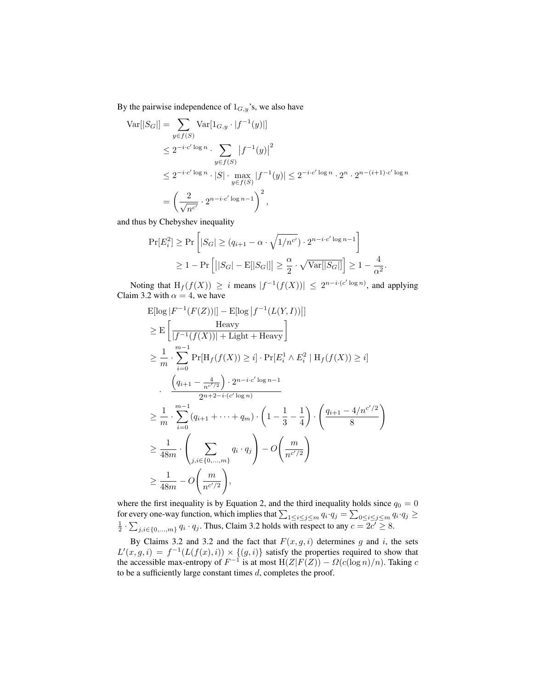By the pairwise independence of  $1_{G,y}$ 's, we also have

$$
\begin{split} \text{Var}[|S_G|] &= \sum_{y \in f(S)} \text{Var}[1_{G,y} \cdot |f^{-1}(y)|] \\ &\le 2^{-i \cdot c' \log n} \cdot \sum_{y \in f(S)} |f^{-1}(y)|^2 \\ &\le 2^{-i \cdot c' \log n} \cdot |S| \cdot \max_{y \in f(S)} |f^{-1}(y)| \le 2^{-i \cdot c' \log n} \cdot 2^n \cdot 2^{n - (i+1) \cdot c' \log n} \\ &= \left(\frac{2}{\sqrt{n^{c'}}} \cdot 2^{n - i \cdot c' \log n - 1}\right)^2, \end{split}
$$

and thus by Chebyshev inequality

$$
\begin{aligned} \Pr[E_i^2] &\geq \Pr\left[|S_G| \geq (q_{i+1} - \alpha \cdot \sqrt{1/n^{c'}}) \cdot 2^{n-i \cdot c' \log n - 1} \right] \\ &\geq 1 - \Pr\left[ \left| |S_G| - \mathrm{E}[|S_G|] \right| \geq \frac{\alpha}{2} \cdot \sqrt{\mathrm{Var}[|S_G|]} \right] \geq 1 - \frac{4}{\alpha^2}. \end{aligned}
$$

Noting that  $H_f(f(X)) \geq i$  means  $|f^{-1}(f(X))| \leq 2^{n-i \cdot (c' \log n)}$ , and applying Claim 3.2 with  $\alpha = 4$ , we have

$$
E[\log |F^{-1}(F(Z))|] - E[\log |f^{-1}(L(Y, I))|]
$$
  
\n
$$
\geq E\left[\frac{\text{Heavy}}{|f^{-1}(f(X))| + \text{Light} + \text{Heavy}}\right]
$$
  
\n
$$
\geq \frac{1}{m} \cdot \sum_{i=0}^{m-1} \Pr[\text{H}_{f}(f(X)) \geq i] \cdot \Pr[E_{i}^{1} \wedge E_{i}^{2} | \text{H}_{f}(f(X)) \geq i]
$$
  
\n
$$
\cdot \frac{\left(q_{i+1} - \frac{4}{n^{c'/2}}\right) \cdot 2^{n-i \cdot c' \log n - 1}}{2^{n+2-i \cdot (c' \log n)}}
$$
  
\n
$$
\geq \frac{1}{m} \cdot \sum_{i=0}^{m-1} (q_{i+1} + \dots + q_{m}) \cdot \left(1 - \frac{1}{3} - \frac{1}{4}\right) \cdot \left(\frac{q_{i+1} - 4/n^{c'/2}}{8}\right)
$$
  
\n
$$
\geq \frac{1}{48m} \cdot \left(\sum_{j,i \in \{0, \dots, m\}} q_{i} \cdot q_{j}\right) - O\left(\frac{m}{n^{c'/2}}\right)
$$
  
\n
$$
\geq \frac{1}{48m} - O\left(\frac{m}{n^{c'/2}}\right),
$$

where the first inequality is by Equation 2, and the third inequality holds since  $q_0 = 0$ for every one-way function, which implies that  $\sum_{1 \le i \le j \le m} q_i \cdot q_j = \sum_{0 \le i \le j \le m} q_i \cdot q_j \ge$  $\frac{1}{2} \cdot \sum_{j,i \in \{0,\ldots,m\}} q_i \cdot q_j$ . Thus, Claim 3.2 holds with respect to any  $c = 2c' \geq 8$ .

By Claims 3.2 and 3.2 and the fact that  $F(x, g, i)$  determines g and i, the sets  $L'(x, g, i) = f^{-1}(L(f(x), i)) \times \{(g, i)\}\$  satisfy the properties required to show that the accessible max-entropy of  $F^{-1}$  is at most  $H(Z|F(Z)) - \Omega(c(\log n)/n)$ . Taking c to be a sufficiently large constant times  $d$ , completes the proof.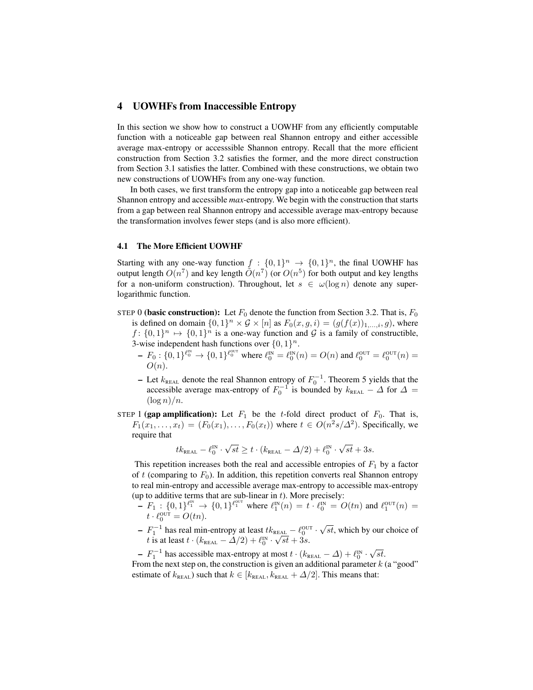# 4 UOWHFs from Inaccessible Entropy

In this section we show how to construct a UOWHF from any efficiently computable function with a noticeable gap between real Shannon entropy and either accessible average max-entropy or accesssible Shannon entropy. Recall that the more efficient construction from Section 3.2 satisfies the former, and the more direct construction from Section 3.1 satisfies the latter. Combined with these constructions, we obtain two new constructions of UOWHFs from any one-way function.

In both cases, we first transform the entropy gap into a noticeable gap between real Shannon entropy and accessible *max*-entropy. We begin with the construction that starts from a gap between real Shannon entropy and accessible average max-entropy because the transformation involves fewer steps (and is also more efficient).

### 4.1 The More Efficient UOWHF

Starting with any one-way function  $f : \{0,1\}^n \rightarrow \{0,1\}^n$ , the final UOWHF has output length  $O(n^7)$  and key length  $\tilde{O}(n^7)$  (or  $O(n^5)$ ) for both output and key lengths for a non-uniform construction). Throughout, let  $s \in \omega(\log n)$  denote any superlogarithmic function.

- STEP 0 (basic construction): Let  $F_0$  denote the function from Section 3.2. That is,  $F_0$ is defined on domain  $\{0,1\}^n \times G \times [n]$  as  $F_0(x,g,i) = (g(f(x))_{1,\ldots,i}, g)$ , where  $f: \{0,1\}^n \mapsto \{0,1\}^n$  is a one-way function and G is a family of constructible, 3-wise independent hash functions over  $\{0, 1\}^n$ .
	- $-F_0: \{0,1\}^{\ell_0^N} \to \{0,1\}^{\ell_0^{OUT}}$  where  $\ell_0^{\text{IN}} = \ell_0^{\text{IN}}(n) = O(n)$  and  $\ell_0^{OUT} = \ell_0^{OUT}(n) = O(n)$  $O(n).$
	- Let  $k_{\text{REAL}}$  denote the real Shannon entropy of  $F_0^{-1}$ . Theorem 5 yields that the accessible average max-entropy of  $F_0^{-1}$  is bounded by  $k_{\text{REAL}} - \Delta$  for  $\Delta =$  $(\log n)/n$ .
- STEP 1 (gap amplification): Let  $F_1$  be the t-fold direct product of  $F_0$ . That is,  $F_1(x_1,...,x_t) = (F_0(x_1),..., F_0(x_t))$  where  $t \in O(n^2 s/\Delta^2)$ . Specifically, we require that

$$
tk_{\text{real}} - \ell_0^{\text{IN}} \cdot \sqrt{st} \ge t \cdot (k_{\text{real}} - \Delta/2) + \ell_0^{\text{IN}} \cdot \sqrt{st} + 3s.
$$

This repetition increases both the real and accessible entropies of  $F_1$  by a factor of t (comparing to  $F_0$ ). In addition, this repetition converts real Shannon entropy to real min-entropy and accessible average max-entropy to accessible max-entropy (up to additive terms that are sub-linear in  $t$ ). More precisely:

- $F_1: \{0,1\}^{\ell_1^{\text{IN}}} \to \{0,1\}^{\ell_1^{\text{OUT}}}$  where  $\ell_1^{\text{IN}}(n) = t \cdot \ell_0^{\text{IN}} = O(tn)$  and  $\ell_1^{\text{OUT}}(n) = 0$  $t \cdot \ell_0^{\text{OUT}} = O(tn).$
- $-F_1^{-1}$  has real min-entropy at least  $tk_{\text{REAL}} \ell_0^{\text{OUT}}$ . √ st, which by our choice of t is at least  $t \cdot (k_{\text{REAL}} - \Delta/2) + \ell_0^{\text{IN}}$ . √  $st + 3s$ .

 $-F_1^{-1}$  has accessible max-entropy at most  $t \cdot (k_{\text{REAL}} - \Delta) + \ell_0^{\text{IN}} \cdot \sqrt{st}$ . From the next step on, the construction is given an additional parameter  $k$  (a "good" estimate of  $k_{\text{REAL}}$ ) such that  $k \in [k_{\text{REAL}}, k_{\text{REAL}} + \Delta/2]$ . This means that: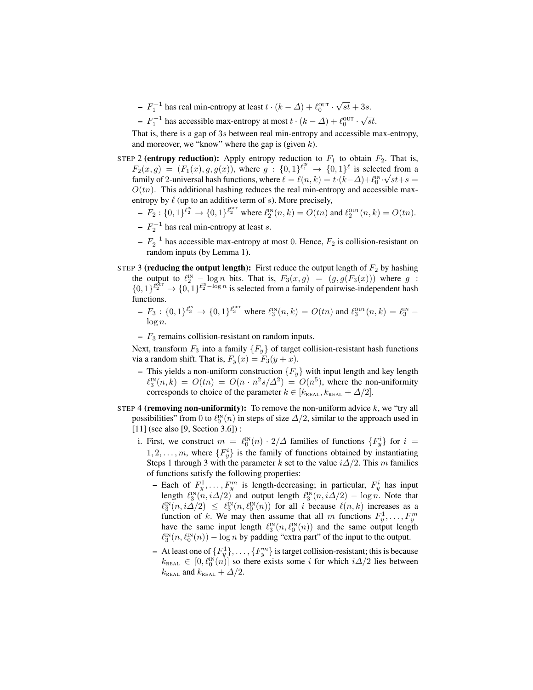- $-F_1^{-1}$  has real min-entropy at least  $t \cdot (k \Delta) + \ell_0^{\text{OUT}}$ . √  $st + 3s$ . √
- $-F_1^{-1}$  has accessible max-entropy at most  $t \cdot (k \Delta) + \ell_0^{\text{OUT}}$ . st.

That is, there is a gap of 3s between real min-entropy and accessible max-entropy, and moreover, we "know" where the gap is (given  $k$ ).

STEP 2 (entropy reduction): Apply entropy reduction to  $F_1$  to obtain  $F_2$ . That is,  $F_2(x,g) = (F_1(x), g, g(x))$ , where  $g : \{0,1\}^{\ell_1^N} \to \{0,1\}^{\ell}$  is selected from a family of 2-universal hash functions, where  $\ell = \ell(n, k) = t \cdot (k - \Delta) + \ell_0^{\text{IN}} \cdot \sqrt{st} + s =$  $O(tn)$ . This additional hashing reduces the real min-entropy and accessible maxentropy by  $\ell$  (up to an additive term of s). More precisely,

- 
$$
F_2
$$
: {0, 1} $^{\ell_2^{\text{IV}}} \to$  {0, 1} $^{\ell_2^{\text{OUT}}}$  where  $\ell_2^{\text{IN}}(n, k) = O(tn)$  and  $\ell_2^{\text{OUT}}(n, k) = O(tn)$ .  
-  $F_2^{-1}$  has real min-entropy at least s.

- $-F_2^{-1}$  has accessible max-entropy at most 0. Hence,  $F_2$  is collision-resistant on random inputs (by Lemma 1).
- STEP 3 (reducing the output length): First reduce the output length of  $F_2$  by hashing the output to  $\ell_2^{\text{IN}} - \log n$  bits. That is,  $F_3(x,g) = (g, g(F_3(x)))$  where g:  $\{0,1\}^{\ell_2^{\text{OUT}}} \to \{0,1\}^{\ell_2^{\text{IN}}-\log n}$  is selected from a family of pairwise-independent hash functions.
	- $-F_3: \{0,1\}^{\ell_3^N} \to \{0,1\}^{\ell_3^{\text{OUT}}}$  where  $\ell_3^{\text{IN}}(n,k) = O(tn)$  and  $\ell_3^{\text{OUT}}(n,k) = \ell_3^{\text{IN}}$  $\log n$ .
	- $F_3$  remains collision-resistant on random inputs.

Next, transform  $F_3$  into a family  $\{F_y\}$  of target collision-resistant hash functions via a random shift. That is,  $F_y(x) = F_3(y + x)$ .

- This yields a non-uniform construction  ${F_u}$  with input length and key length  $\ell_3^{\text{IN}}(n,k) = O(tn) = O(n \cdot n^2 s/\Delta^2) = O(n^5)$ , where the non-uniformity corresponds to choice of the parameter  $k \in [k_{\text{REAL}}, k_{\text{REAL}} + \Delta/2].$
- STEP 4 (removing non-uniformity): To remove the non-uniform advice  $k$ , we "try all possibilities" from 0 to  $\ell_0^N(n)$  in steps of size  $\Delta/2$ , similar to the approach used in [11] (see also [9, Section 3.6]) :
	- i. First, we construct  $m = \ell_0^{\text{IN}}(n) \cdot 2/\Delta$  families of functions  ${F_y^i}$  for  $i =$  $1, 2, \ldots, m$ , where  $\{F_y^i\}$  is the family of functions obtained by instantiating Steps 1 through 3 with the parameter k set to the value  $i\Delta/2$ . This m families of functions satisfy the following properties:
		- Each of  $F_y^1, \ldots, F_y^m$  is length-decreasing; in particular,  $F_y^i$  has input length  $\ell_3^{\text{IN}}(n, i\Delta/2)$  and output length  $\ell_3^{\text{IN}}(n, i\Delta/2) - \log n$ . Note that  $\ell_3^{\text{IN}}(n, i\Delta/2) \leq \ell_3^{\text{IN}}(n, \ell_0^{\text{IN}}(n))$  for all i because  $\ell(n, k)$  increases as a function of k. We may then assume that all m functions  $F_y^1, \ldots, F_y^m$ have the same input length  $\ell_3^{\text{IN}}(n, \ell_0^{\text{IN}}(n))$  and the same output length  $\ell_3^{\text{IN}}(n, \ell_0^{\text{IN}}(n)) - \log n$  by padding "extra part" of the input to the output.
		- $-$  At least one of  $\{F_y^1\}, \ldots, \{F_y^m\}$  is target collision-resistant; this is because  $k_{\text{ReLU}} \in [0, \ell_{0}^{\text{IN}}(n)]$  so there exists some i for which  $i\Delta/2$  lies between  $k_{\text{REAL}}$  and  $k_{\text{REAL}} + \Delta/2$ .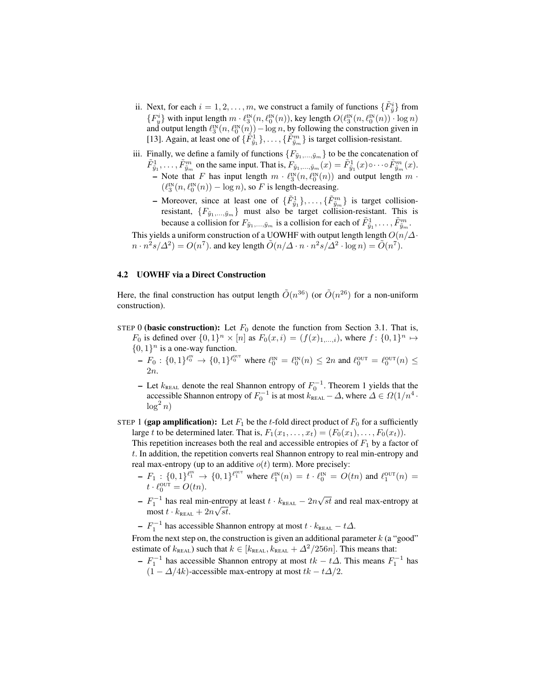- ii. Next, for each  $i = 1, 2, \dots, m$ , we construct a family of functions  $\{ \tilde{F}_{\tilde{y}}^{i} \}$  from  $\{F_y^i\}$  with input length  $m\cdot \ell_3^{\text{\tiny{IN}}}(n,\ell_0^{\text{\tiny{IN}}}(n)),$  key length  $O(\ell_3^{\text{\tiny{IN}}}(n,\ell_0^{\text{\tiny{IN}}}(n))\cdot \log n)$ and output length  $\ell_3^{\text{IN}}(n, \ell_0^{\text{IN}}(n)) - \log n$ , by following the construction given in [13]. Again, at least one of  $\{\tilde{F}_{\tilde{y}_1}^1\}, \ldots, \{\tilde{F}_{\tilde{y}_m}^m\}$  is target collision-resistant.
- iii. Finally, we define a family of functions  $\{F_{\tilde{y}_1,...,\tilde{y}_m}\}$  to be the concatenation of  $\tilde{F}^1_{\tilde{y}_1}, \ldots, \tilde{F}^m_{\tilde{y}_m}$  on the same input. That is,  $F_{\tilde{y}_1, \ldots, \tilde{y}_m}(x) = \tilde{F}^1_{\tilde{y}_1}(x) \circ \cdots \circ \tilde{F}^m_{\tilde{y}_m}(x)$ . - Note that F has input length  $m \cdot \ell_3^{\text{IN}}(n, \ell_0^{\text{IN}}(n))$  and output length  $m \cdot$ 
	- $(\ell_3^{\text{IN}}(n, \ell_0^{\text{IN}}(n)) \log n)$ , so F is length-decreasing. - Moreover, since at least one of  $\{\tilde{F}_{\tilde{y}_1}^{1}\}, \ldots, \{\tilde{F}_{\tilde{y}_m}^{m}\}\$  is target collisionresistant,  $\{F_{\tilde{y}_1,...,\tilde{y}_m}\}\$  must also be target collision-resistant. This is

because a collision for  $F_{\tilde{y}_1,...,\tilde{y}_m}$  is a collision for each of  $\tilde{F}^1_{\tilde{y}_1},\ldots,\tilde{F}^m_{\tilde{y}_m}$ . This yields a uniform construction of a UOWHF with output length length  $O(n/\Delta \cdot$  $n \cdot n^2 s / \Delta^2 = O(n^7)$ . and key length  $\tilde{O}(n/\Delta \cdot n \cdot n^2 s / \Delta^2 \cdot \log n) = \tilde{O}(n^7)$ .

# 4.2 UOWHF via a Direct Construction

Here, the final construction has output length  $\tilde{O}(n^{36})$  (or  $\tilde{O}(n^{26})$  for a non-uniform construction).

- STEP 0 (basic construction): Let  $F_0$  denote the function from Section 3.1. That is,  $F_0$  is defined over  $\{0,1\}^n \times [n]$  as  $F_0(x,i) = (f(x)_{1,\ldots,i})$ , where  $f: \{0,1\}^n \mapsto$ 
	- $\{0, 1\}^n$  is a one-way function.
	- $-F_0: \{0,1\}^{\ell_0^N} \to \{0,1\}^{\ell_0^{00T}}$  where  $\ell_0^{\text{IN}} = \ell_0^{\text{IN}}(n) \leq 2n$  and  $\ell_0^{00T} = \ell_0^{00T}(n) \leq$ 2n.
	- Let  $k_{\text{REAL}}$  denote the real Shannon entropy of  $F_0^{-1}$ . Theorem 1 yields that the accessible Shannon entropy of  $F_0^{-1}$  is at most  $k_{\text{REAL}} - \Delta$ , where  $\Delta \in \Omega(1/n^4$ .  $\log^2 n$
- STEP 1 (gap amplification): Let  $F_1$  be the t-fold direct product of  $F_0$  for a sufficiently large t to be determined later. That is,  $F_1(x_1, \ldots, x_t) = (F_0(x_1), \ldots, F_0(x_t)).$ This repetition increases both the real and accessible entropies of  $F_1$  by a factor of t. In addition, the repetition converts real Shannon entropy to real min-entropy and real max-entropy (up to an additive  $o(t)$  term). More precisely:
	- $-F_1: \{0,1\}^{\ell_1^{\text{IN}}} \to \{0,1\}^{\ell_1^{\text{OUT}}}$  where  $\ell_1^{\text{IN}}(n) = t \cdot \ell_0^{\text{IN}} = O(tn)$  and  $\ell_1^{\text{OUT}}(n) =$  $t \cdot \ell_0^{\text{OUT}} = O(tn).$
	- $-F_1^{-1}$  has real min-entropy at least  $t \cdot k_{\text{REAL}} 2n$ √ entropy at least  $t \cdot k_{\text{REAL}} - 2n\sqrt{st}$  and real max-entropy at most  $t \cdot k_{\text{REAL}} + 2n\sqrt{st}$ .
	- $-F_1^{-1}$  has accessible Shannon entropy at most  $t \cdot k_{\text{REAL}} t\Delta$ .

From the next step on, the construction is given an additional parameter  $k$  (a "good" estimate of  $k_{\text{REAL}}$ ) such that  $k \in [k_{\text{REAL}}, k_{\text{REAL}} + \Delta^2/256n]$ . This means that:

 $-F_1^{-1}$  has accessible Shannon entropy at most  $tk - t\Delta$ . This means  $F_1^{-1}$  has  $(1 - \Delta/4k)$ -accessible max-entropy at most  $tk - t\Delta/2$ .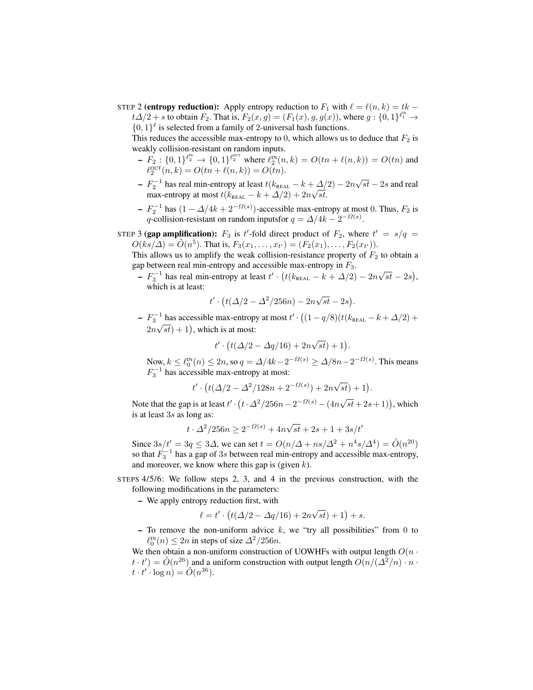STEP 2 (entropy reduction): Apply entropy reduction to  $F_1$  with  $\ell = \ell(n, k) = tk$  $t\Delta/2 + s$  to obtain  $F_2$ . That is,  $F_2(x,g) = (F_1(x), g, g(x))$ , where  $g: \{0,1\}^{\ell_1^{\mathbb{N}}} \to$  $\{0,1\}^{\ell}$  is selected from a family of 2-universal hash functions.

This reduces the accessible max-entropy to 0, which allows us to deduce that  $F_2$  is weakly collision-resistant on random inputs.

- $-F_2: \{0,1\}^{\ell_2^N} \to \{0,1\}^{\ell_2^{OUT}}$  where  $\ell_2^{IN}(n,k) = O(tn + \ell(n,k)) = O(tn)$  and  $\ell_2^{\text{OUT}}(n, k) = O(tn + \ell(n, k)) = O(tn).$
- $-F_2^{-1}$  has real min-entropy at least  $t(k_{\text{REAL}} k + \Delta/2) 2n$ √  $\frac{\Delta}{2}$  – 2n $\sqrt{st}$  – 2s and real max-entropy at most  $t(k_{\text{REAL}} - k + \Delta/2) + 2n\sqrt{st}$ .
- $-F_2^{-1}$  has  $(1 \Delta/4k + 2^{-\Omega(s)})$ -accessible max-entropy at most 0. Thus,  $F_2$  is q-collision-resistant on random inputsfor  $q = \Delta/4k - 2^{-\Omega(s)}$ .

STEP 3 (gap amplification):  $F_3$  is t'-fold direct product of  $F_2$ , where  $t' = s/q$  $O(ks/\Delta) = \tilde{O}(n^5)$ . That is,  $F_3(x_1,...,x_{t'}) = (F_2(x_1),...,F_2(x_{t'})).$ 

This allows us to amplify the weak collision-resistance property of  $F_2$  to obtain a gap between real min-entropy and accessible max-entropy in  $F_3$ . √

 $-F_3^{-1}$  has real min-entropy at least  $t' \cdot (t(k_{\text{ReAL}} - k + \Delta/2) - 2n)$  $\overline{st} - 2s$ ), which is at least:

$$
t' \cdot \big(t(\Delta/2 - \Delta^2/256n) - 2n\sqrt{st} - 2s\big).
$$

 $-F_3^{-1}$  has accessible max-entropy at most  $t' \cdot ((1 - q/8)(t(k_{\text{REAL}} - k + \Delta/2) +$  $(2n\sqrt{st})+1$ , which is at most:

$$
t' \cdot \big(t(\Delta/2 - \Delta q/16) + 2n\sqrt{st}\big) + 1\big).
$$

Now,  $k \leq \ell_0^{\text{IN}}(n) \leq 2n$ , so  $q = \Delta/4k - 2^{-\Omega(s)} \geq \Delta/8n - 2^{-\Omega(s)}$ . This means  $F_3^{-1}$  has accessible max-entropy at most:

$$
t' \cdot (t(\Delta/2 - \Delta^2/128n + 2^{-\Omega(s)}) + 2n\sqrt{st}) + 1).
$$

Note that the gap is at least  $t' \cdot (t \cdot \Delta^2/256n - 2^{-\Omega(s)} - (4n\sqrt{st} + 2s + 1))$ , which is at least 3s as long as:

$$
t \cdot \Delta^2 / 256n \ge 2^{-\Omega(s)} + 4n\sqrt{st} + 2s + 1 + 3s/t'
$$

Since  $3s/t' = 3q \leq 3\Delta$ , we can set  $t = O(n/\Delta + ns/\Delta^2 + n^4 s/\Delta^4) = \tilde{O}(n^{20})$ so that  $F_3^{-1}$  has a gap of 3s between real min-entropy and accessible max-entropy, and moreover, we know where this gap is (given  $k$ ).

- STEPS 4/5/6: We follow steps 2, 3, and 4 in the previous construction, with the following modifications in the parameters:
	- We apply entropy reduction first, with

$$
\ell = t' \cdot \left(t(\Delta/2 - \Delta q/16) + 2n\sqrt{st}\right) + 1\right) + s.
$$

 $-$  To remove the non-uniform advice k, we "try all possibilities" from 0 to  $\ell_0^{\text{IN}}(n) \leq 2n$  in steps of size  $\Delta^2/256n$ .

We then obtain a non-uniform construction of UOWHFs with output length  $O(n \cdot$  $(t \cdot t') = \tilde{O}(n^{26})$  and a uniform construction with output length  $\tilde{O}(n/(\Delta^2/n) \cdot n \cdot n)$  $t \cdot t' \cdot \log n = \widetilde{O}(n^{36}).$